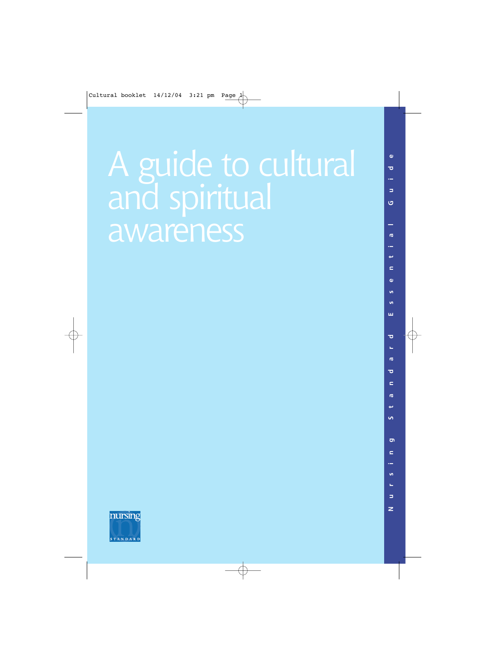## A guide to cultural and spiritual awareness



**Nursing Standard Essential Guide** ᄒ  $\overline{a}$ ō  $\sigma$  $\epsilon$  $\mathbf{a}$ **u** ш  $\overline{\phantom{a}}$  $\overline{a}$ ć  $\mathbf{r}$ **i** ō  $\mathbf{C}$  $\mathbf{r}$  $\overline{\mathbf{z}}$  $\overline{z}$ 

 $\mathbf{a}$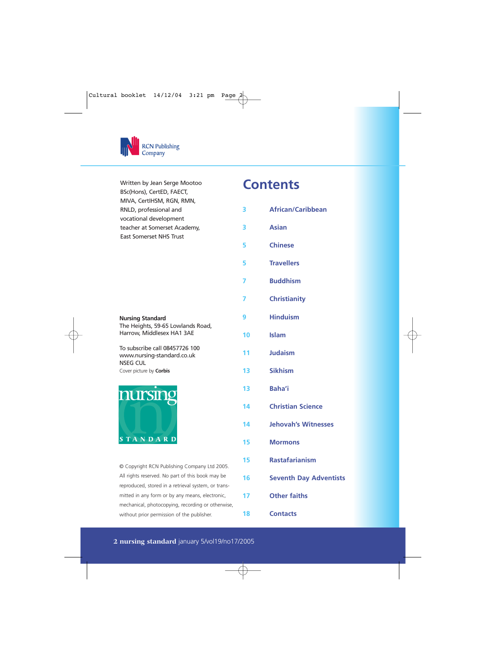

| Written by Jean Serge Mootoo   |  |
|--------------------------------|--|
| BSc(Hons), CertED, FAECT,      |  |
| MIVA, CertIHSM, RGN, RMN,      |  |
| RNLD, professional and         |  |
| vocational development         |  |
| teacher at Somerset Academy,   |  |
| <b>East Somerset NHS Trust</b> |  |

#### **Nursing Standard**

The Heights, 59-65 Lowlands Road, Harrow, Middlesex HA1 3AE

To subscribe call 08457726 100 www.nursing-standard.co.uk NSEG CUL Cover picture by **Corbis**



© Copyright RCN Publishing Company Ltd 2005. All rights reserved. No part of this book may be reproduced, stored in a retrieval system, or transmitted in any form or by any means, electronic, mechanical, photocopying, recording or otherwise, without prior permission of the publisher.

### **Contents**

| 3  | <b>African/Caribbean</b>      |
|----|-------------------------------|
| 3  | <b>Asian</b>                  |
| 5  | <b>Chinese</b>                |
| 5  | <b>Travellers</b>             |
| 7  | <b>Buddhism</b>               |
| 7  | <b>Christianity</b>           |
| 9  | <b>Hinduism</b>               |
| 10 | <b>Islam</b>                  |
| 11 | <b>Judaism</b>                |
| 13 | <b>Sikhism</b>                |
| 13 | Baha'i                        |
| 14 | <b>Christian Science</b>      |
| 14 | <b>Jehovah's Witnesses</b>    |
| 15 | <b>Mormons</b>                |
| 15 | <b>Rastafarianism</b>         |
| 16 | <b>Seventh Day Adventists</b> |
| 17 | <b>Other faiths</b>           |
| 18 | <b>Contacts</b>               |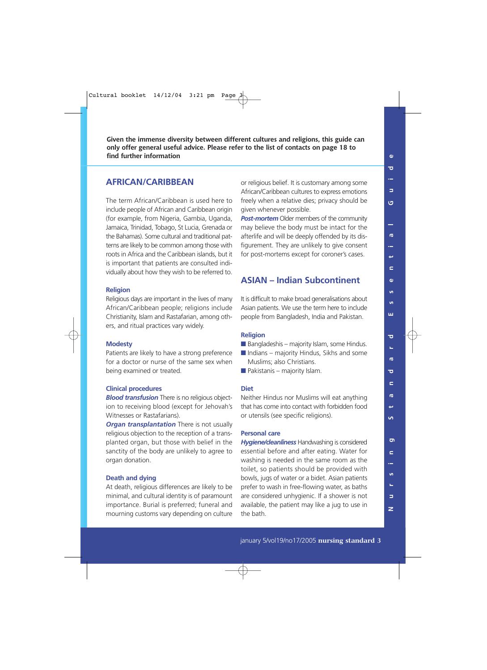**Given the immense diversity between different cultures and religions, this guide can only offer general useful advice. Please refer to the list of contacts on page 18 to find further information**

#### **AFRICAN/CARIBBEAN**

The term African/Caribbean is used here to include people of African and Caribbean origin (for example, from Nigeria, Gambia, Uganda, Jamaica, Trinidad, Tobago, St Lucia, Grenada or the Bahamas). Some cultural and traditional patterns are likely to be common among those with roots in Africa and the Caribbean islands, but it is important that patients are consulted individually about how they wish to be referred to.

#### **Religion**

Religious days are important in the lives of many African/Caribbean people; religions include Christianity, Islam and Rastafarian, among others, and ritual practices vary widely.

#### **Modesty**

Patients are likely to have a strong preference for a doctor or nurse of the same sex when being examined or treated.

#### **Clinical procedures**

*Blood transfusion* There is no religious objection to receiving blood (except for Jehovah's Witnesses or Rastafarians).

*Organ transplantation* There is not usually religious objection to the reception of a transplanted organ, but those with belief in the sanctity of the body are unlikely to agree to organ donation.

#### **Death and dying**

At death, religious differences are likely to be minimal, and cultural identity is of paramount importance. Burial is preferred; funeral and mourning customs vary depending on culture

or religious belief. It is customary among some African/Caribbean cultures to express emotions freely when a relative dies; privacy should be given whenever possible

*Post-mortem* Older members of the community may believe the body must be intact for the afterlife and will be deeply offended by its disfigurement. They are unlikely to give consent for post-mortems except for coroner's cases.

#### **ASIAN – Indian Subcontinent**

It is difficult to make broad generalisations about Asian patients. We use the term here to include people from Bangladesh, India and Pakistan.

#### **Religion**

- $\blacksquare$  Bangladeshis majority Islam, some Hindus.
- $\blacksquare$  Indians majority Hindus, Sikhs and some Muslims; also Christians.
- $\blacksquare$  Pakistanis majority Islam.

#### **Diet**

Neither Hindus nor Muslims will eat anything that has come into contact with forbidden food or utensils (see specific religions).

#### **Personal care**

*Hygiene/cleanliness* Handwashing is considered essential before and after eating. Water for washing is needed in the same room as the toilet, so patients should be provided with bowls, jugs of water or a bidet. Asian patients prefer to wash in free-flowing water, as baths are considered unhygienic. If a shower is not available, the patient may like a jug to use in the bath.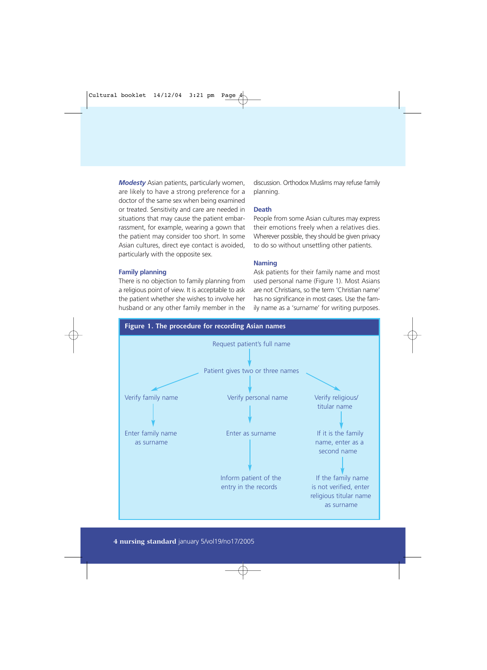*Modesty* Asian patients, particularly women, are likely to have a strong preference for a doctor of the same sex when being examined or treated. Sensitivity and care are needed in situations that may cause the patient embarrassment, for example, wearing a gown that the patient may consider too short. In some Asian cultures, direct eye contact is avoided, particularly with the opposite sex.

**Family planning**

There is no objection to family planning from a religious point of view. It is acceptable to ask the patient whether she wishes to involve her husband or any other family member in the discussion. Orthodox Muslims may refuse family planning.

#### **Death**

People from some Asian cultures may express their emotions freely when a relatives dies. Wherever possible, they should be given privacy to do so without unsettling other patients.

#### **Naming**

Ask patients for their family name and most used personal name (Figure 1). Most Asians are not Christians, so the term 'Christian name' has no significance in most cases. Use the family name as a 'surname' for writing purposes.



#### **4 nursing standard** january 5/vol19/no17/2005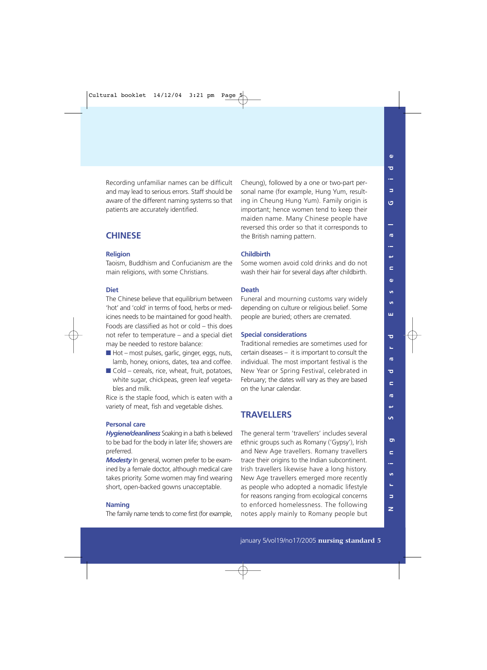Recording unfamiliar names can be difficult and may lead to serious errors. Staff should be aware of the different naming systems so that patients are accurately identified.

#### **CHINESE**

#### **Religion**

Taoism, Buddhism and Confucianism are the main religions, with some Christians.

#### **Diet**

The Chinese believe that equilibrium between 'hot' and 'cold' in terms of food, herbs or medicines needs to be maintained for good health. Foods are classified as hot or cold – this does not refer to temperature – and a special diet may be needed to restore balance:

- $\blacksquare$  Hot most pulses, garlic, ginger, eggs, nuts, lamb, honey, onions, dates, tea and coffee.
- $\blacksquare$  Cold cereals, rice, wheat, fruit, potatoes, white sugar, chickpeas, green leaf vegetables and milk.

Rice is the staple food, which is eaten with a variety of meat, fish and vegetable dishes.

#### **Personal care**

*Hygiene/cleanliness* Soaking in a bath is believed to be bad for the body in later life; showers are preferred.

*Modesty* In general, women prefer to be examined by a female doctor, although medical care takes priority. Some women may find wearing short, open-backed gowns unacceptable.

#### **Naming**

The family name tends to come first (for example,

Cheung), followed by a one or two-part personal name (for example, Hung Yum, resulting in Cheung Hung Yum). Family origin is important; hence women tend to keep their maiden name. Many Chinese people have reversed this order so that it corresponds to the British naming pattern.

#### **Childbirth**

Some women avoid cold drinks and do not wash their hair for several days after childbirth.

#### **Death**

Funeral and mourning customs vary widely depending on culture or religious belief. Some people are buried; others are cremated.

#### **Special considerations**

Traditional remedies are sometimes used for certain diseases – it is important to consult the individual. The most important festival is the New Year or Spring Festival, celebrated in February; the dates will vary as they are based on the lunar calendar.

#### **TRAVELLERS**

The general term 'travellers' includes several ethnic groups such as Romany ('Gypsy'), Irish and New Age travellers. Romany travellers trace their origins to the Indian subcontinent. Irish travellers likewise have a long history. New Age travellers emerged more recently as people who adopted a nomadic lifestyle for reasons ranging from ecological concerns to enforced homelessness. The following notes apply mainly to Romany people but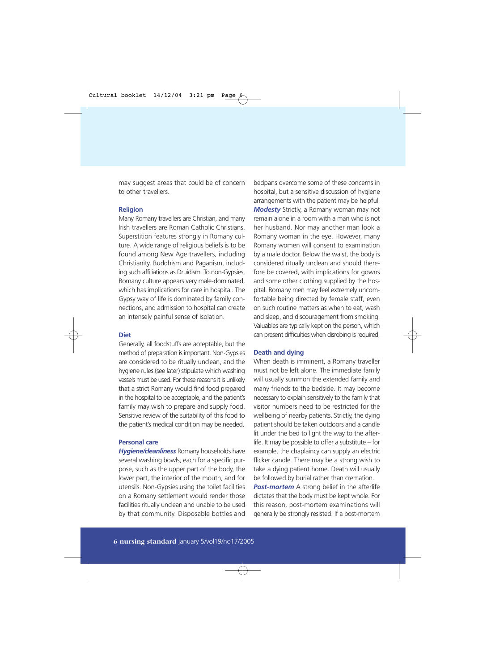may suggest areas that could be of concern to other travellers.

#### **Religion**

Many Romany travellers are Christian, and many Irish travellers are Roman Catholic Christians. Superstition features strongly in Romany culture. A wide range of religious beliefs is to be found among New Age travellers, including Christianity, Buddhism and Paganism, including such affiliations as Druidism. To non-Gypsies, Romany culture appears very male-dominated, which has implications for care in hospital. The Gypsy way of life is dominated by family connections, and admission to hospital can create an intensely painful sense of isolation.

#### **Diet**

Generally, all foodstuffs are acceptable, but the method of preparation is important. Non-Gypsies are considered to be ritually unclean, and the hygiene rules (see later) stipulate which washing vessels must be used. For these reasons it is unlikely that a strict Romany would find food prepared in the hospital to be acceptable, and the patient's family may wish to prepare and supply food. Sensitive review of the suitability of this food to the patient's medical condition may be needed.

#### **Personal care**

*Hygiene/cleanliness* Romany households have several washing bowls, each for a specific purpose, such as the upper part of the body, the lower part, the interior of the mouth, and for utensils. Non-Gypsies using the toilet facilities on a Romany settlement would render those facilities ritually unclean and unable to be used by that community. Disposable bottles and

bedpans overcome some of these concerns in hospital, but a sensitive discussion of hygiene arrangements with the patient may be helpful. *Modesty* Strictly, a Romany woman may not remain alone in a room with a man who is not her husband. Nor may another man look a Romany woman in the eye. However, many Romany women will consent to examination by a male doctor. Below the waist, the body is considered ritually unclean and should therefore be covered, with implications for gowns and some other clothing supplied by the hospital. Romany men may feel extremely uncomfortable being directed by female staff, even on such routine matters as when to eat, wash and sleep, and discouragement from smoking. Valuables are typically kept on the person, which can present difficulties when disrobing is required.

#### **Death and dying**

When death is imminent, a Romany traveller must not be left alone. The immediate family will usually summon the extended family and many friends to the bedside. It may become necessary to explain sensitively to the family that visitor numbers need to be restricted for the wellbeing of nearby patients. Strictly, the dying patient should be taken outdoors and a candle lit under the bed to light the way to the afterlife. It may be possible to offer a substitute – for example, the chaplaincy can supply an electric flicker candle. There may be a strong wish to take a dying patient home. Death will usually be followed by burial rather than cremation.

**Post-mortem** A strong belief in the afterlife dictates that the body must be kept whole. For this reason, post-mortem examinations will generally be strongly resisted. If a post-mortem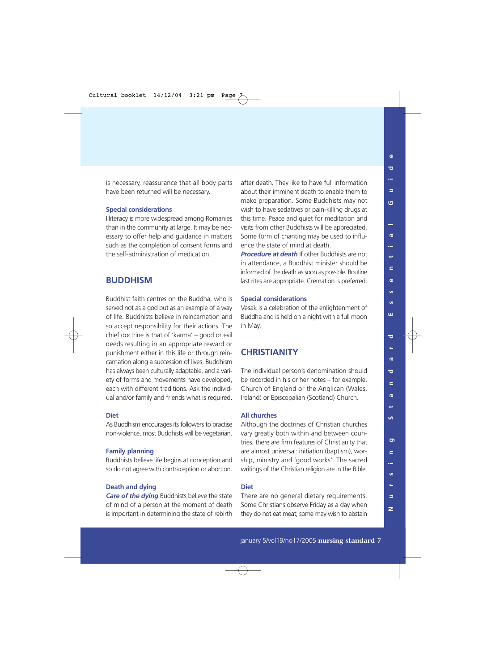is necessary, reassurance that all body parts have been returned will be necessary.

#### **Special considerations**

Illiteracy is more widespread among Romanies than in the community at large. It may be necessary to offer help and guidance in matters such as the completion of consent forms and the self-administration of medication.

#### **BUDDHISM**

Buddhist faith centres on the Buddha, who is served not as a god but as an example of a way of life. Buddhists believe in reincarnation and so accept responsibility for their actions. The chief doctrine is that of 'karma' – good or evil deeds resulting in an appropriate reward or punishment either in this life or through reincarnation along a succession of lives. Buddhism has always been culturally adaptable, and a variety of forms and movements have developed, each with different traditions. Ask the individual and/or family and friends what is required.

#### **Diet**

As Buddhism encourages its followers to practise non-violence, most Buddhists will be vegetarian.

#### **Family planning**

Buddhists believe life begins at conception and so do not agree with contraception or abortion.

#### **Death and dying**

*Care of the dying* Buddhists believe the state of mind of a person at the moment of death is important in determining the state of rebirth

after death. They like to have full information about their imminent death to enable them to make preparation. Some Buddhists may not wish to have sedatives or pain-killing drugs at this time. Peace and quiet for meditation and visits from other Buddhists will be appreciated. Some form of chanting may be used to influence the state of mind at death.

*Procedure at death* If other Buddhists are not in attendance, a Buddhist minister should be informed of the death as soon as possible. Routine last rites are appropriate. Cremation is preferred.

#### **Special considerations**

Vesak is a celebration of the enlightenment of Buddha and is held on a night with a full moon in May.

#### **CHRISTIANITY**

The individual person's denomination should be recorded in his or her notes – for example, Church of England or the Anglican (Wales, Ireland) or Episcopalian (Scotland) Church.

#### **All churches**

Although the doctrines of Christian churches vary greatly both within and between countries, there are firm features of Christianity that are almost universal: initiation (baptism), worship, ministry and 'good works'. The sacred writings of the Christian religion are in the Bible.

#### **Diet**

There are no general dietary requirements. Some Christians observe Friday as a day when they do not eat meat; some may wish to abstain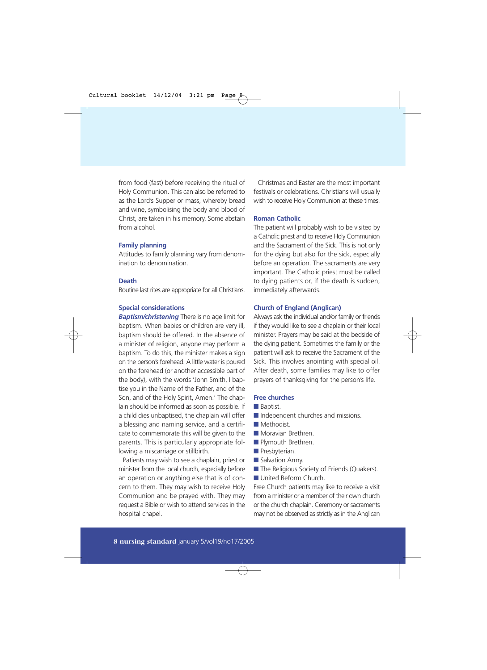from food (fast) before receiving the ritual of Holy Communion. This can also be referred to as the Lord's Supper or mass, whereby bread and wine, symbolising the body and blood of Christ, are taken in his memory. Some abstain from alcohol.

#### **Family planning**

Attitudes to family planning vary from denomination to denomination.

#### **Death**

Routine last rites are appropriate for all Christians.

#### **Special considerations**

*Baptism/christening* There is no age limit for baptism. When babies or children are very ill, baptism should be offered. In the absence of a minister of religion, anyone may perform a baptism. To do this, the minister makes a sign on the person's forehead. A little water is poured on the forehead (or another accessible part of the body), with the words 'John Smith, I baptise you in the Name of the Father, and of the Son, and of the Holy Spirit, Amen.' The chaplain should be informed as soon as possible. If a child dies unbaptised, the chaplain will offer a blessing and naming service, and a certificate to commemorate this will be given to the parents. This is particularly appropriate following a miscarriage or stillbirth.

Patients may wish to see a chaplain, priest or minister from the local church, especially before an operation or anything else that is of concern to them. They may wish to receive Holy Communion and be prayed with. They may request a Bible or wish to attend services in the hospital chapel.

Christmas and Easter are the most important festivals or celebrations. Christians will usually wish to receive Holy Communion at these times.

#### **Roman Catholic**

The patient will probably wish to be visited by a Catholic priest and to receive Holy Communion and the Sacrament of the Sick. This is not only for the dying but also for the sick, especially before an operation. The sacraments are very important. The Catholic priest must be called to dying patients or, if the death is sudden, immediately afterwards.

#### **Church of England (Anglican)**

Always ask the individual and/or family or friends if they would like to see a chaplain or their local minister. Prayers may be said at the bedside of the dying patient. Sometimes the family or the patient will ask to receive the Sacrament of the Sick. This involves anointing with special oil. After death, some families may like to offer prayers of thanksgiving for the person's life.

#### **Free churches**

- Baptist.
- Independent churches and missions.
- Methodist
- Moravian Brethren
- Plymouth Brethren.
- Presbyterian.
- Salvation Army.
- The Religious Society of Friends (Quakers).
- United Reform Church

Free Church patients may like to receive a visit from a minister or a member of their own church or the church chaplain. Ceremony or sacraments may not be observed as strictly as in the Anglican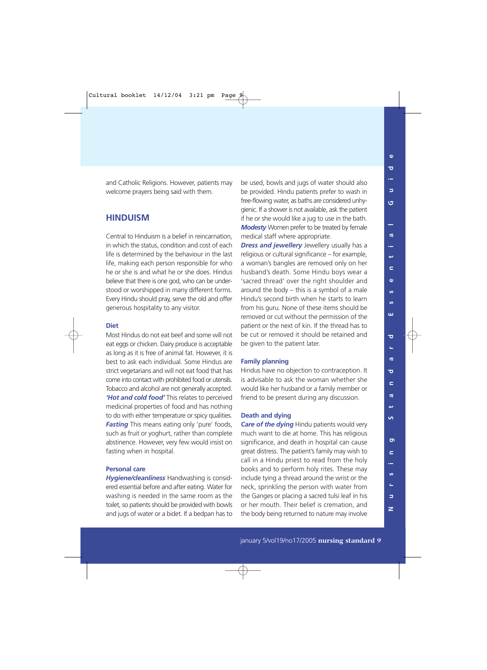and Catholic Religions. However, patients may welcome prayers being said with them.

#### **HINDUISM**

Central to Hinduism is a belief in reincarnation, in which the status, condition and cost of each life is determined by the behaviour in the last life, making each person responsible for who he or she is and what he or she does. Hindus believe that there is one god, who can be understood or worshipped in many different forms. Every Hindu should pray, serve the old and offer generous hospitality to any visitor.

#### **Diet**

Most Hindus do not eat beef and some will not eat eggs or chicken. Dairy produce is acceptable as long as it is free of animal fat. However, it is best to ask each individual. Some Hindus are strict vegetarians and will not eat food that has come into contact with prohibited food or utensils. Tobacco and alcohol are not generally accepted. *'Hot and cold food'* This relates to perceived medicinal properties of food and has nothing to do with either temperature or spicy qualities. **Fasting** This means eating only 'pure' foods, such as fruit or yoghurt, rather than complete abstinence. However, very few would insist on fasting when in hospital.

#### **Personal care**

*Hygiene/cleanliness* Handwashing is considered essential before and after eating. Water for washing is needed in the same room as the toilet, so patients should be provided with bowls and jugs of water or a bidet. If a bedpan has to be used, bowls and jugs of water should also be provided. Hindu patients prefer to wash in free-flowing water, as baths are considered unhygienic. If a shower is not available, ask the patient if he or she would like a jug to use in the bath. *Modesty* Women prefer to be treated by female medical staff where appropriate.

*Dress and jewellery* Jewellery usually has a religious or cultural significance – for example, a woman's bangles are removed only on her husband's death. Some Hindu boys wear a 'sacred thread' over the right shoulder and around the body – this is a symbol of a male Hindu's second birth when he starts to learn from his guru. None of these items should be removed or cut without the permission of the patient or the next of kin. If the thread has to be cut or removed it should be retained and be given to the patient later.

#### **Family planning**

Hindus have no objection to contraception. It is advisable to ask the woman whether she would like her husband or a family member or friend to be present during any discussion.

#### **Death and dying**

*Care of the dying* Hindu patients would very much want to die at home. This has religious significance, and death in hospital can cause great distress. The patient's family may wish to call in a Hindu priest to read from the holy books and to perform holy rites. These may include tying a thread around the wrist or the neck, sprinkling the person with water from the Ganges or placing a sacred tulsi leaf in his or her mouth. Their belief is cremation, and the body being returned to nature may involve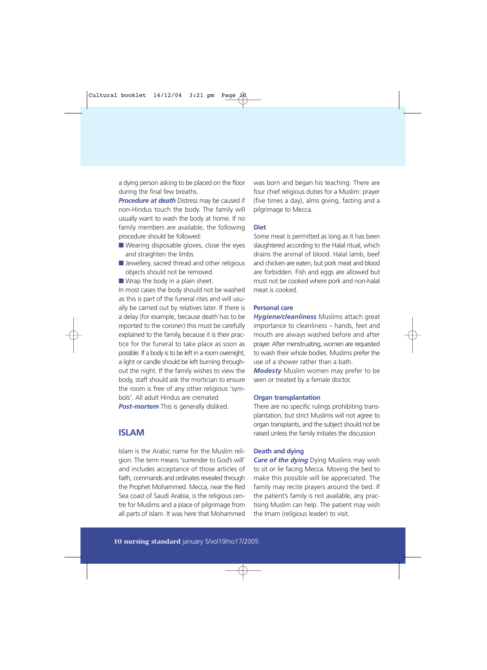a dying person asking to be placed on the floor during the final few breaths.

*Procedure at death* Distress may be caused if non-Hindus touch the body. The family will usually want to wash the body at home. If no family members are available, the following procedure should be followed:

- Wearing disposable gloves, close the eyes and straighten the limbs.
- Jewellery, sacred thread and other religious objects should not be removed.
- Wrap the body in a plain sheet.

In most cases the body should not be washed as this is part of the funeral rites and will usually be carried out by relatives later. If there is a delay (for example, because death has to be reported to the coroner) this must be carefully explained to the family, because it is their practice for the funeral to take place as soon as possible. If a body is to be left in a room overnight, a light or candle should be left burning throughout the night. If the family wishes to view the body, staff should ask the mortician to ensure the room is free of any other religious 'symbols'. All adult Hindus are cremated **Post-mortem** This is generally disliked.

#### **ISLAM**

Islam is the Arabic name for the Muslim religion. The term means 'surrender to God's will' and includes acceptance of those articles of faith, commands and ordinates revealed through the Prophet Mohammed. Mecca, near the Red Sea coast of Saudi Arabia, is the religious centre for Muslims and a place of pilgrimage from all parts of Islam. It was here that Mohammed

was born and began his teaching. There are four chief religious duties for a Muslim: prayer (five times a day), alms giving, fasting and a pilgrimage to Mecca.

#### **Diet**

Some meat is permitted as long as it has been slaughtered according to the Halal ritual, which drains the animal of blood. Halal lamb, beef and chicken are eaten, but pork meat and blood are forbidden. Fish and eggs are allowed but must not be cooked where pork and non-halal meat is cooked.

#### **Personal care**

*Hygiene/cleanliness* Muslims attach great importance to cleanliness – hands, feet and mouth are always washed before and after prayer. After menstruating, women are requested to wash their whole bodies. Muslims prefer the use of a shower rather than a bath.

*Modesty* Muslim women may prefer to be seen or treated by a female doctor.

#### **Organ transplantation**

There are no specific rulings prohibiting transplantation, but strict Muslims will not agree to organ transplants, and the subject should not be raised unless the family initiates the discussion.

#### **Death and dying**

*Care of the dying* Dying Muslims may wish to sit or lie facing Mecca. Moving the bed to make this possible will be appreciated. The family may recite prayers around the bed. If the patient's family is not available, any practising Muslim can help. The patient may wish the Imam (religious leader) to visit.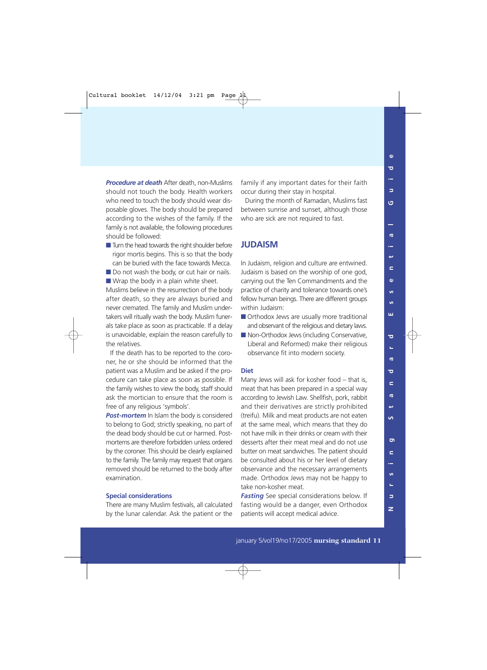*Procedure at death* After death, non-Muslims should not touch the body. Health workers who need to touch the body should wear disposable gloves. The body should be prepared according to the wishes of the family. If the family is not available, the following procedures should be followed:

- Turn the head towards the right shoulder before rigor mortis begins. This is so that the body can be buried with the face towards Mecca.
- Do not wash the body, or cut hair or nails. ■ Wrap the body in a plain white sheet.

Muslims believe in the resurrection of the body after death, so they are always buried and never cremated. The family and Muslim undertakers will ritually wash the body. Muslim funerals take place as soon as practicable. If a delay is unavoidable, explain the reason carefully to the relatives.

If the death has to be reported to the coroner, he or she should be informed that the patient was a Muslim and be asked if the procedure can take place as soon as possible. If the family wishes to view the body, staff should ask the mortician to ensure that the room is free of any religious 'symbols'.

*Post-mortem* In Islam the body is considered to belong to God; strictly speaking, no part of the dead body should be cut or harmed. Postmortems are therefore forbidden unless ordered by the coroner. This should be clearly explained to the family. The family may request that organs removed should be returned to the body after examination.

#### **Special considerations**

There are many Muslim festivals, all calculated by the lunar calendar. Ask the patient or the family if any important dates for their faith occur during their stay in hospital.

During the month of Ramadan, Muslims fast between sunrise and sunset, although those who are sick are not required to fast.

#### **JUDAISM**

In Judaism, religion and culture are entwined. Judaism is based on the worship of one god, carrying out the Ten Commandments and the practice of charity and tolerance towards one's fellow human beings. There are different groups within Judaism:

- Orthodox Jews are usually more traditional and observant of the religious and dietary laws.
- Non-Orthodox Jews (including Conservative, Liberal and Reformed) make their religious observance fit into modern society.

#### **Diet**

Many Jews will ask for kosher food – that is, meat that has been prepared in a special way according to Jewish Law. Shellfish, pork, rabbit and their derivatives are strictly prohibited (treifu). Milk and meat products are not eaten at the same meal, which means that they do not have milk in their drinks or cream with their desserts after their meat meal and do not use butter on meat sandwiches. The patient should be consulted about his or her level of dietary observance and the necessary arrangements made. Orthodox Jews may not be happy to take non-kosher meat.

*Fasting* See special considerations below. If fasting would be a danger, even Orthodox patients will accept medical advice.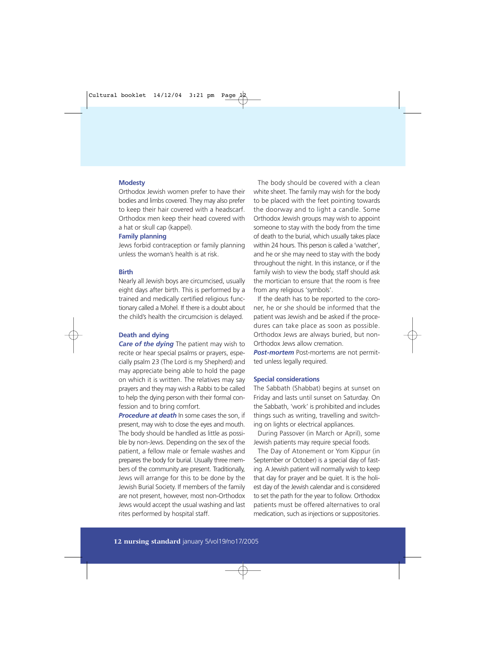#### **Modesty**

Orthodox Jewish women prefer to have their bodies and limbs covered. They may also prefer to keep their hair covered with a headscarf. Orthodox men keep their head covered with a hat or skull cap (kappel).

#### **Family planning**

Jews forbid contraception or family planning unless the woman's health is at risk.

#### **Birth**

Nearly all Jewish boys are circumcised, usually eight days after birth. This is performed by a trained and medically certified religious functionary called a Mohel. If there is a doubt about the child's health the circumcision is delayed.

#### **Death and dying**

*Care of the dying* The patient may wish to recite or hear special psalms or prayers, especially psalm 23 (The Lord is my Shepherd) and may appreciate being able to hold the page on which it is written. The relatives may say prayers and they may wish a Rabbi to be called to help the dying person with their formal confession and to bring comfort.

*Procedure at death* In some cases the son, if present, may wish to close the eyes and mouth. The body should be handled as little as possible by non-Jews. Depending on the sex of the patient, a fellow male or female washes and prepares the body for burial. Usually three members of the community are present. Traditionally, Jews will arrange for this to be done by the Jewish Burial Society. If members of the family are not present, however, most non-Orthodox Jews would accept the usual washing and last rites performed by hospital staff.

The body should be covered with a clean white sheet. The family may wish for the body to be placed with the feet pointing towards the doorway and to light a candle. Some Orthodox Jewish groups may wish to appoint someone to stay with the body from the time of death to the burial, which usually takes place within 24 hours. This person is called a 'watcher', and he or she may need to stay with the body throughout the night. In this instance, or if the family wish to view the body, staff should ask the mortician to ensure that the room is free from any religious 'symbols'.

If the death has to be reported to the coroner, he or she should be informed that the patient was Jewish and be asked if the procedures can take place as soon as possible. Orthodox Jews are always buried, but non-Orthodox Jews allow cremation.

**Post-mortem** Post-mortems are not permitted unless legally required.

#### **Special considerations**

The Sabbath (Shabbat) begins at sunset on Friday and lasts until sunset on Saturday. On the Sabbath, 'work' is prohibited and includes things such as writing, travelling and switching on lights or electrical appliances.

During Passover (in March or April), some Jewish patients may require special foods.

The Day of Atonement or Yom Kippur (in September or October) is a special day of fasting. A Jewish patient will normally wish to keep that day for prayer and be quiet. It is the holiest day of the Jewish calendar and is considered to set the path for the year to follow. Orthodox patients must be offered alternatives to oral medication, such as injections or suppositories.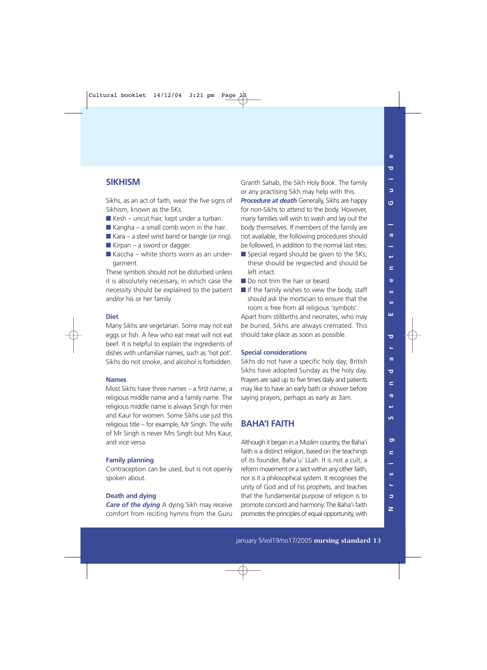#### **SIKHISM**

Sikhs, as an act of faith, wear the five signs of Sikhism, known as the 5Ks.

- $\blacksquare$  Kesh uncut hair, kept under a turban.
- $\blacksquare$  Kangha a small comb worn in the hair.
- $\blacksquare$  Kara a steel wrist band or bangle (or ring).
- $\blacksquare$  Kirpan a sword or dagger.
- Kaccha white shorts worn as an undergarment.

These symbols should not be disturbed unless it is absolutely necessary, in which case the necessity should be explained to the patient and/or his or her family.

#### **Diet**

Many Sikhs are vegetarian. Some may not eat eggs or fish. A few who eat meat will not eat beef. It is helpful to explain the ingredients of dishes with unfamiliar names, such as 'hot pot'. Sikhs do not smoke, and alcohol is forbidden.

#### **Names**

Most Sikhs have three names – a first name, a religious middle name and a family name. The religious middle name is always Singh for men and Kaur for women. Some Sikhs use just this religious title – for example, Mr Singh. The wife of Mr Singh is never Mrs Singh but Mrs Kaur, and vice versa.

#### **Family planning**

Contraception can be used, but is not openly spoken about.

#### **Death and dying**

*Care of the dying* A dying Sikh may receive comfort from reciting hymns from the Guru Granth Sahab, the Sikh Holy Book. The family or any practising Sikh may help with this.

**Procedure at death** Generally, Sikhs are happy for non-Sikhs to attend to the body. However, many families will wish to wash and lay out the body themselves. If members of the family are not available, the following procedures should be followed, in addition to the normal last rites:

- Special regard should be given to the 5Ks: these should be respected and should be left intact.
- Do not trim the hair or beard.
- If the family wishes to view the body, staff should ask the mortician to ensure that the room is free from all religious 'symbols'.

Apart from stillbirths and neonates, who may be buried, Sikhs are always cremated. This should take place as soon as possible.

#### **Special considerations**

Sikhs do not have a specific holy day; British Sikhs have adopted Sunday as the holy day. Prayers are said up to five times daily and patients may like to have an early bath or shower before saying prayers; perhaps as early as 3am.

#### **BAHA'I FAITH**

Although it began in a Muslim country, the Baha'i faith is a distinct religion, based on the teachings of its founder, Baha'u' LLah. It is not a cult, a reform movement or a sect within any other faith, nor is it a philosophical system. It recognises the unity of God and of his prophets, and teaches that the fundamental purpose of religion is to promote concord and harmony. The Baha'i faith promotes the principles of equal opportunity, with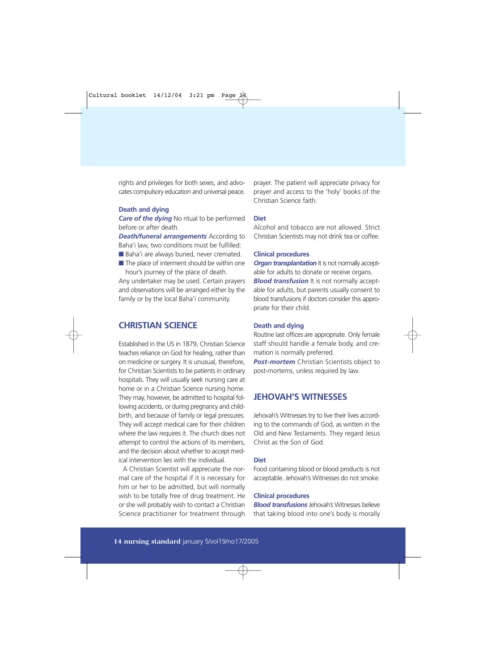rights and privileges for both sexes, and advocates compulsory education and universal peace.

#### **Death and dying**

*Care of the dying* No ritual to be performed before or after death.

*Death/funeral arrangements* According to Baha'i law, two conditions must be fulfilled:

- Baha'i are always buried, never cremated.
- The place of interment should be within one hour's journey of the place of death.

Any undertaker may be used. Certain prayers and observations will be arranged either by the family or by the local Baha'i community.

#### **CHRISTIAN SCIENCE**

Established in the US in 1879, Christian Science teaches reliance on God for healing, rather than on medicine or surgery. It is unusual, therefore, for Christian Scientists to be patients in ordinary hospitals. They will usually seek nursing care at home or in a Christian Science nursing home. They may, however, be admitted to hospital following accidents, or during pregnancy and childbirth, and because of family or legal pressures. They will accept medical care for their children where the law requires it. The church does not attempt to control the actions of its members, and the decision about whether to accept medical intervention lies with the individual.

A Christian Scientist will appreciate the normal care of the hospital if it is necessary for him or her to be admitted, but will normally wish to be totally free of drug treatment. He or she will probably wish to contact a Christian Science practitioner for treatment through

prayer. The patient will appreciate privacy for prayer and access to the 'holy' books of the Christian Science faith.

#### **Diet**

Alcohol and tobacco are not allowed. Strict Christian Scientists may not drink tea or coffee.

#### **Clinical procedures**

*Organ transplantation* It is not normally acceptable for adults to donate or receive organs. *Blood transfusion* It is not normally acceptable for adults, but parents usually consent to blood transfusions if doctors consider this appropriate for their child.

#### **Death and dying**

Routine last offices are appropriate. Only female staff should handle a female body, and cremation is normally preferred.

*Post-mortem* Christian Scientists object to post-mortems, unless required by law.

#### **JEHOVAH'S WITNESSES**

Jehovah's Witnesses try to live their lives according to the commands of God, as written in the Old and New Testaments. They regard Jesus Christ as the Son of God.

#### **Diet**

Food containing blood or blood products is not acceptable. Jehovah's Witnesses do not smoke.

#### **Clinical procedures**

*Blood transfusions* Jehovah's Witnesses believe that taking blood into one's body is morally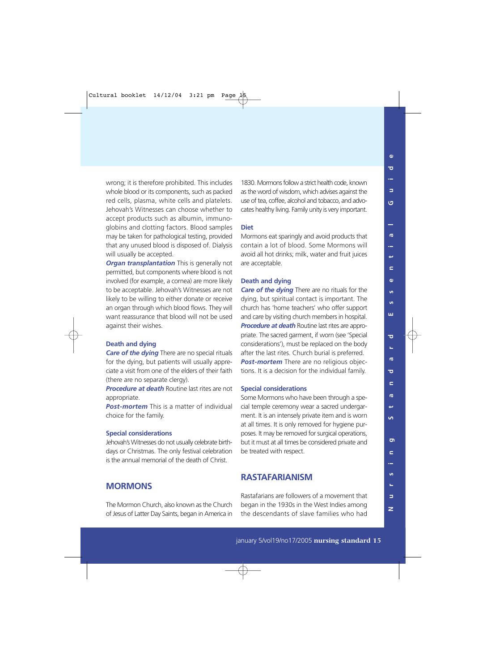wrong; it is therefore prohibited. This includes whole blood or its components, such as packed red cells, plasma, white cells and platelets. Jehovah's Witnesses can choose whether to accept products such as albumin, immunoglobins and clotting factors. Blood samples may be taken for pathological testing, provided that any unused blood is disposed of. Dialysis will usually be accepted.

*Organ transplantation* This is generally not permitted, but components where blood is not involved (for example, a cornea) are more likely to be acceptable. Jehovah's Witnesses are not likely to be willing to either donate or receive an organ through which blood flows. They will want reassurance that blood will not be used against their wishes.

#### **Death and dying**

*Care of the dying* There are no special rituals for the dying, but patients will usually appreciate a visit from one of the elders of their faith (there are no separate clergy).

*Procedure at death* Routine last rites are not appropriate.

*Post-mortem* This is a matter of individual choice for the family.

#### **Special considerations**

Jehovah's Witnesses do not usually celebrate birthdays or Christmas. The only festival celebration is the annual memorial of the death of Christ.

#### **MORMONS**

The Mormon Church, also known as the Church of Jesus of Latter Day Saints, began in America in

1830. Mormons follow a strict health code, known as the word of wisdom, which advises against the use of tea, coffee, alcohol and tobacco, and advocates healthy living. Family unity is very important.

#### **Diet**

Mormons eat sparingly and avoid products that contain a lot of blood. Some Mormons will avoid all hot drinks; milk, water and fruit juices are acceptable.

#### **Death and dying**

*Care of the dying* There are no rituals for the dying, but spiritual contact is important. The church has 'home teachers' who offer support and care by visiting church members in hospital. **Procedure at death** Routine last rites are appropriate. The sacred garment, if worn (see 'Special considerations'), must be replaced on the body after the last rites. Church burial is preferred. *Post-mortem* There are no religious objections. It is a decision for the individual family.

#### **Special considerations**

Some Mormons who have been through a special temple ceremony wear a sacred undergarment. It is an intensely private item and is worn at all times. It is only removed for hygiene purposes. It may be removed for surgical operations, but it must at all times be considered private and be treated with respect.

#### **RASTAFARIANISM**

Rastafarians are followers of a movement that began in the 1930s in the West Indies among the descendants of slave families who had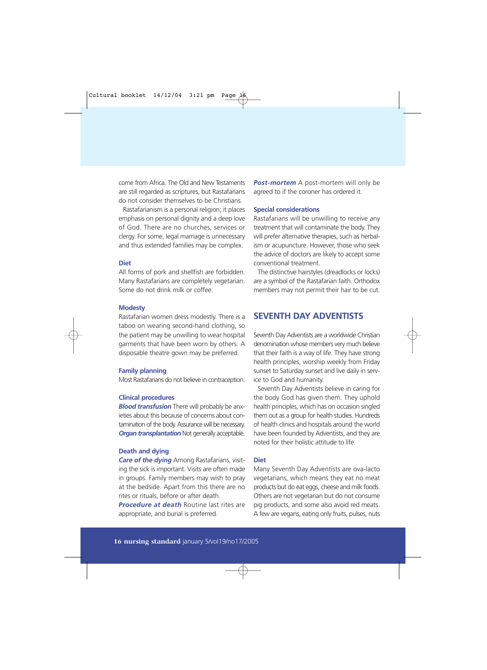come from Africa. The Old and New Testaments are still regarded as scriptures, but Rastafarians do not consider themselves to be Christians.

Rastafarianism is a personal religion; it places emphasis on personal dignity and a deep love of God. There are no churches, services or clergy. For some, legal marriage is unnecessary and thus extended families may be complex.

#### **Diet**

All forms of pork and shellfish are forbidden. Many Rastafarians are completely vegetarian. Some do not drink milk or coffee.

#### **Modesty**

Rastafarian women dress modestly. There is a taboo on wearing second-hand clothing, so the patient may be unwilling to wear hospital garments that have been worn by others. A disposable theatre gown may be preferred.

#### **Family planning**

Most Rastafarians do not believe in contraception.

#### **Clinical procedures**

*Blood transfusion* There will probably be anxieties about this because of concerns about contamination of the body. Assurance will be necessary. **Organ transplantation** Not generally acceptable.

#### **Death and dying**

*Care of the dying* Among Rastafarians, visiting the sick is important. Visits are often made in groups. Family members may wish to pray at the bedside. Apart from this there are no rites or rituals, before or after death.

*Procedure at death* Routine last rites are appropriate, and burial is preferred.

*Post-mortem* A post-mortem will only be agreed to if the coroner has ordered it.

#### **Special considerations**

Rastafarians will be unwilling to receive any treatment that will contaminate the body. They will prefer alternative therapies, such as herbalism or acupuncture. However, those who seek the advice of doctors are likely to accept some conventional treatment.

The distinctive hairstyles (dreadlocks or locks) are a symbol of the Rastafarian faith. Orthodox members may not permit their hair to be cut.

#### **SEVENTH DAY ADVENTISTS**

Seventh Day Adventists are a worldwide Christian denomination whose members very much believe that their faith is a way of life. They have strong health principles, worship weekly from Friday sunset to Saturday sunset and live daily in service to God and humanity.

Seventh Day Adventists believe in caring for the body God has given them. They uphold health principles, which has on occasion singled them out as a group for health studies. Hundreds of health clinics and hospitals around the world have been founded by Adventists, and they are noted for their holistic attitude to life.

#### **Diet**

Many Seventh Day Adventists are ova-lacto vegetarians, which means they eat no meat products but do eat eggs, cheese and milk foods. Others are not vegetarian but do not consume pig products, and some also avoid red meats. A few are vegans, eating only fruits, pulses, nuts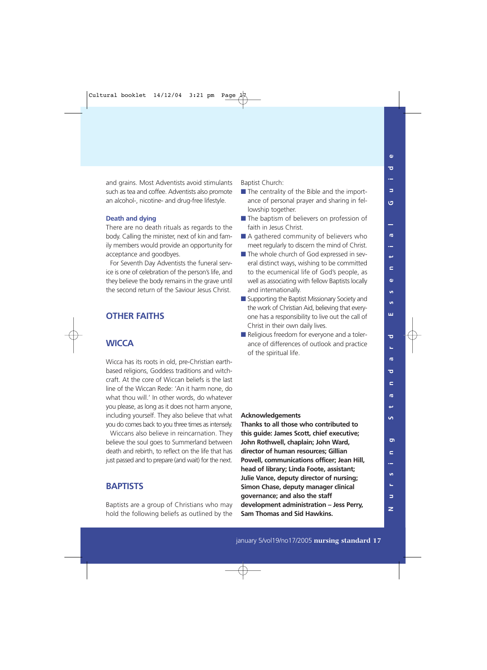$\mathbf{a}$ 

and grains. Most Adventists avoid stimulants such as tea and coffee. Adventists also promote an alcohol-, nicotine- and drug-free lifestyle.

#### **Death and dying**

There are no death rituals as regards to the body. Calling the minister, next of kin and family members would provide an opportunity for acceptance and goodbyes.

For Seventh Day Adventists the funeral service is one of celebration of the person's life, and they believe the body remains in the grave until the second return of the Saviour Jesus Christ.

#### **OTHER FAITHS**

#### **WICCA**

Wicca has its roots in old, pre-Christian earthbased religions, Goddess traditions and witchcraft. At the core of Wiccan beliefs is the last line of the Wiccan Rede: 'An it harm none, do what thou will.' In other words, do whatever you please, as long as it does not harm anyone, including yourself. They also believe that what you do comes back to you three times as intensely.

Wiccans also believe in reincarnation. They believe the soul goes to Summerland between death and rebirth, to reflect on the life that has just passed and to prepare (and wait) for the next.

#### **BAPTISTS**

Baptists are a group of Christians who may hold the following beliefs as outlined by the Baptist Church:

- The centrality of the Bible and the importance of personal prayer and sharing in fellowship together.
- The baptism of believers on profession of faith in Jesus Christ.
- A gathered community of believers who meet regularly to discern the mind of Christ.
- The whole church of God expressed in several distinct ways, wishing to be committed to the ecumenical life of God's people, as well as associating with fellow Baptists locally and internationally.
- Supporting the Baptist Missionary Society and the work of Christian Aid, believing that everyone has a responsibility to live out the call of Christ in their own daily lives.
- Religious freedom for everyone and a tolerance of differences of outlook and practice of the spiritual life.

#### **Acknowledgements**

**Thanks to all those who contributed to this guide: James Scott, chief executive; John Rothwell, chaplain; John Ward, director of human resources; Gillian Powell, communications officer; Jean Hill, head of library; Linda Foote, assistant; Julie Vance, deputy director of nursing; Simon Chase, deputy manager clinical governance; and also the staff development administration – Jess Perry, Sam Thomas and Sid Hawkins.**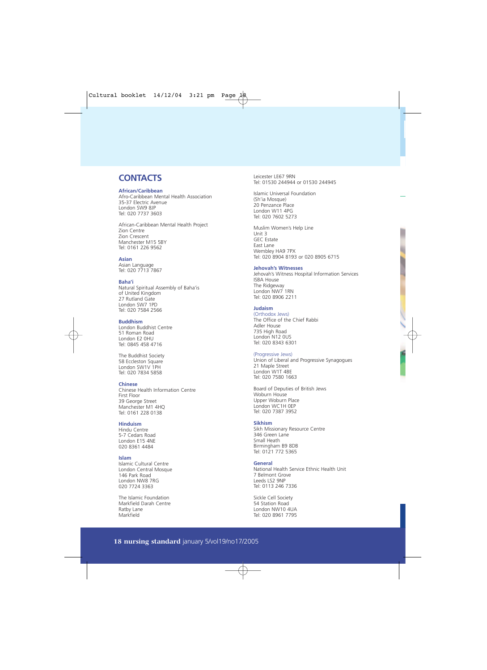#### **CONTACTS**

#### **African/Caribbean**

Afro-Caribbean Mental Health Association 35-37 Electric Avenue London SW9 8JP Tel: 020 7737 3603

African-Caribbean Mental Health Project Zion Centre Zion Crescent Manchester M15 5BY Tel: 0161 226 9562

#### **Asian**

Asian Language Tel: 020 7713 7867

#### **Baha'i**

Natural Spiritual Assembly of Baha'is of United Kingdom 27 Rutland Gate London SW7 1PD Tel: 020 7584 2566

#### **Buddhism**

London Buddhist Centre 51 Roman Road London E2 0HU Tel: 0845 458 4716

The Buddhist Society 58 Eccleston Square London SW1V 1PH Tel: 020 7834 5858

#### **Chinese**

Chinese Health Information Centre First Floor 39 George Street Manchester M1 4HQ Tel: 0161 228 0138

#### **Hinduism**

Hindu Centre 5-7 Cedars Road London E15 4NE 020 8361 4484

#### **Islam**

Islamic Cultural Centre London Central Mosque 146 Park Road London NW8 7RG 020 7724 3363

The Islamic Foundation Markfield Darah Centre Ratby Lane Markfield

Leicester LE67 9RN Tel: 01530 244944 or 01530 244945

Islamic Universal Foundation (Sh'ia Mosque) 20 Penzance Place London W11 4PG Tel: 020 7602 5273

Muslim Women's Help Line Unit 3 GEC Estate East Lane Wembley HA9 7PX Tel: 020 8904 8193 or 020 8905 6715

#### **Jehovah's Witnesses**

Jehovah's Witness Hospital Information Services ISBA House The Ridgeway London NW7 1RN Tel: 020 8906 2211

#### **Judaism**

(Orthodox Jews) The Office of the Chief Rabbi Adler House 735 High Road London N12 0US Tel: 020 8343 6301

#### (Progressive Jews)

Union of Liberal and Progressive Synagogues 21 Maple Street London W1T 4BE Tel: 020 7580 1663

Board of Deputies of British Jews Woburn House Upper Woburn Place London WC1H 0EP Tel: 020 7387 3952

#### **Sikhism**

Sikh Missionary Resource Centre 346 Green Lane Small Heath Birmingham B9 8DB Tel: 0121 772 5365

#### **General**

National Health Service Ethnic Health Unit 7 Belmont Grove Leeds LS2 9NP Tel: 0113 246 7336

Sickle Cell Society 54 Station Road London NW10 4UA Tel: 020 8961 7795

#### **18 nursing standard** january 5/vol19/no17/2005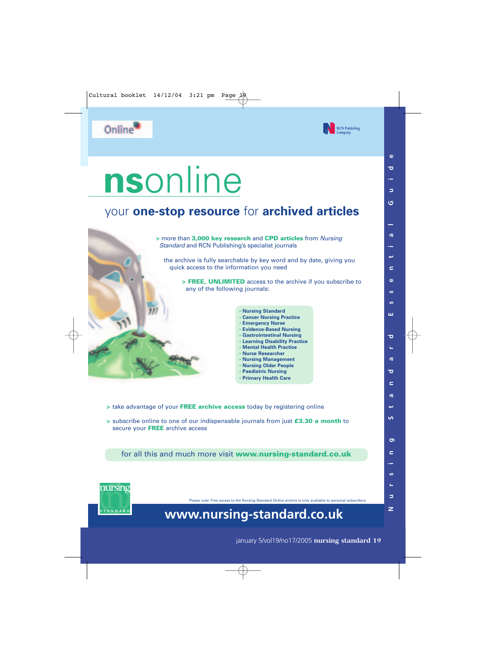

# **ns**online

### your **one-stop resource** for **archived articles**



- > take advantage of your FREE archive access today by registering online
- > subscribe online to one of our indispensable journals from just £3.30 a month to secure your **FREE** archive access

for all this and much more visit www.nursing-standard.co.uk



Please note: Free access to the Nursing Standard Online archive is only available to personal subscribers

## **www.nursing-standard.co.uk**

**RCN Publishing** 

january 5/vol19/no17/2005 **nursing standard 19**